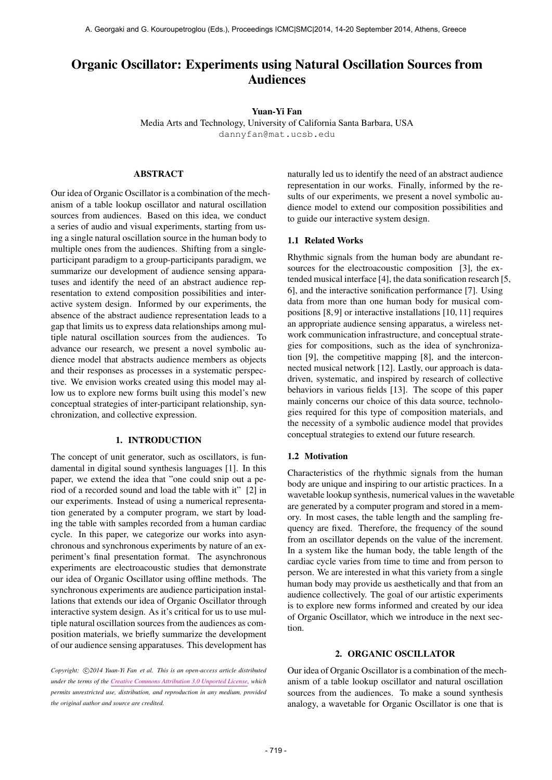# Organic Oscillator: Experiments using Natural Oscillation Sources from Audiences

# Yuan-Yi Fan

Media Arts and Technology, University of California Santa Barbara, USA [dannyfan@mat.ucsb.edu](mailto:dannyfan@mat.ucsb.edu)

### ABSTRACT

Our idea of Organic Oscillator is a combination of the mechanism of a table lookup oscillator and natural oscillation sources from audiences. Based on this idea, we conduct a series of audio and visual experiments, starting from using a single natural oscillation source in the human body to multiple ones from the audiences. Shifting from a singleparticipant paradigm to a group-participants paradigm, we summarize our development of audience sensing apparatuses and identify the need of an abstract audience representation to extend composition possibilities and interactive system design. Informed by our experiments, the absence of the abstract audience representation leads to a gap that limits us to express data relationships among multiple natural oscillation sources from the audiences. To advance our research, we present a novel symbolic audience model that abstracts audience members as objects and their responses as processes in a systematic perspective. We envision works created using this model may allow us to explore new forms built using this model's new conceptual strategies of inter-participant relationship, synchronization, and collective expression.

# 1. INTRODUCTION

The concept of unit generator, such as oscillators, is fundamental in digital sound synthesis languages [1]. In this paper, we extend the idea that "one could snip out a period of a recorded sound and load the table with it" [2] in our experiments. Instead of using a numerical representation generated by a computer program, we start by loading the table with samples recorded from a human cardiac cycle. In this paper, we categorize our works into asynchronous and synchronous experiments by nature of an experiment's final presentation format. The asynchronous experiments are electroacoustic studies that demonstrate our idea of Organic Oscillator using offline methods. The synchronous experiments are audience participation installations that extends our idea of Organic Oscillator through interactive system design. As it's critical for us to use multiple natural oscillation sources from the audiences as composition materials, we briefly summarize the development of our audience sensing apparatuses. This development has naturally led us to identify the need of an abstract audience representation in our works. Finally, informed by the results of our experiments, we present a novel symbolic audience model to extend our composition possibilities and to guide our interactive system design.

#### 1.1 Related Works

Rhythmic signals from the human body are abundant resources for the electroacoustic composition [3], the extended musical interface [4], the data sonification research [5, 6], and the interactive sonification performance [7]. Using data from more than one human body for musical compositions [8, 9] or interactive installations [10, 11] requires an appropriate audience sensing apparatus, a wireless network communication infrastructure, and conceptual strategies for compositions, such as the idea of synchronization [9], the competitive mapping [8], and the interconnected musical network [12]. Lastly, our approach is datadriven, systematic, and inspired by research of collective behaviors in various fields [13]. The scope of this paper mainly concerns our choice of this data source, technologies required for this type of composition materials, and the necessity of a symbolic audience model that provides conceptual strategies to extend our future research.

#### 1.2 Motivation

Characteristics of the rhythmic signals from the human body are unique and inspiring to our artistic practices. In a wavetable lookup synthesis, numerical values in the wavetable are generated by a computer program and stored in a memory. In most cases, the table length and the sampling frequency are fixed. Therefore, the frequency of the sound from an oscillator depends on the value of the increment. In a system like the human body, the table length of the cardiac cycle varies from time to time and from person to person. We are interested in what this variety from a single human body may provide us aesthetically and that from an audience collectively. The goal of our artistic experiments is to explore new forms informed and created by our idea of Organic Oscillator, which we introduce in the next section.

# 2. ORGANIC OSCILLATOR

Our idea of Organic Oscillator is a combination of the mechanism of a table lookup oscillator and natural oscillation sources from the audiences. To make a sound synthesis analogy, a wavetable for Organic Oscillator is one that is

Copyright:  $\bigcirc$ 2014 Yuan-Yi Fan et al. This is an open-access article distributed *under the terms of the [Creative Commons Attribution 3.0 Unported License,](http://creativecommons.org/licenses/by/3.0/) which permits unrestricted use, distribution, and reproduction in any medium, provided the original author and source are credited.*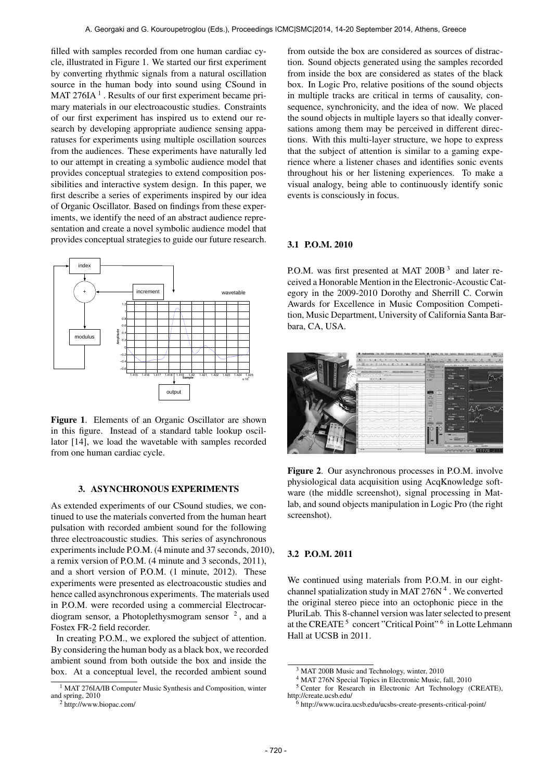filled with samples recorded from one human cardiac cycle, illustrated in Figure 1. We started our first experiment by converting rhythmic signals from a natural oscillation source in the human body into sound using CSound in MAT 276IA $<sup>1</sup>$ . Results of our first experiment became pri-</sup> mary materials in our electroacoustic studies. Constraints of our first experiment has inspired us to extend our research by developing appropriate audience sensing apparatuses for experiments using multiple oscillation sources from the audiences. These experiments have naturally led to our attempt in creating a symbolic audience model that provides conceptual strategies to extend composition possibilities and interactive system design. In this paper, we first describe a series of experiments inspired by our idea of Organic Oscillator. Based on findings from these experiments, we identify the need of an abstract audience representation and create a novel symbolic audience model that provides conceptual strategies to guide our future research.



Figure 1. Elements of an Organic Oscillator are shown in this figure. Instead of a standard table lookup oscillator [14], we load the wavetable with samples recorded from one human cardiac cycle.

#### 3. ASYNCHRONOUS EXPERIMENTS

As extended experiments of our CSound studies, we continued to use the materials converted from the human heart pulsation with recorded ambient sound for the following three electroacoustic studies. This series of asynchronous experiments include P.O.M. (4 minute and 37 seconds, 2010), a remix version of P.O.M. (4 minute and 3 seconds, 2011), and a short version of P.O.M. (1 minute, 2012). These experiments were presented as electroacoustic studies and hence called asynchronous experiments. The materials used in P.O.M. were recorded using a commercial Electrocardiogram sensor, a Photoplethysmogram sensor  $2$ , and a Fostex FR-2 field recorder.

In creating P.O.M., we explored the subject of attention. By considering the human body as a black box, we recorded ambient sound from both outside the box and inside the box. At a conceptual level, the recorded ambient sound

from outside the box are considered as sources of distraction. Sound objects generated using the samples recorded from inside the box are considered as states of the black box. In Logic Pro, relative positions of the sound objects in multiple tracks are critical in terms of causality, consequence, synchronicity, and the idea of now. We placed the sound objects in multiple layers so that ideally conversations among them may be perceived in different directions. With this multi-layer structure, we hope to express that the subject of attention is similar to a gaming experience where a listener chases and identifies sonic events throughout his or her listening experiences. To make a visual analogy, being able to continuously identify sonic events is consciously in focus.

#### 3.1 P.O.M. 2010

P.O.M. was first presented at MAT 200B<sup>3</sup> and later received a Honorable Mention in the Electronic-Acoustic Category in the 2009-2010 Dorothy and Sherrill C. Corwin Awards for Excellence in Music Composition Competition, Music Department, University of California Santa Barbara, CA, USA.

|                                                                             | A B B                                                                                                                |
|-----------------------------------------------------------------------------|----------------------------------------------------------------------------------------------------------------------|
| ٠<br>-au<br>٠<br>۰                                                          | a<br><b><i><u>Phones Wellcomed Station</u></i></b><br><b>START COMPANY</b><br>---<br><b>SALES</b><br><b>BASE AND</b> |
| z<br>$\sqrt{2}$<br><br>m<br>2h<br><b>CONTRACTOR</b><br>ю                    | <b><i><u>Right</u></i></b><br>A .: # 1281 8 1 M .: 740  Park  Mk  646  Mk<br><b>Service Millener, Inc.</b>           |
| <b>CAMBRIDGE</b><br>14.0001                                                 | $-$<br>. .<br><b>Security</b><br>$-$<br>-<br><b>Service</b>                                                          |
| $A$ $B$ $A$ $B$<br>$\rightarrow$<br>×<br>diale)<br>$\blacksquare$<br>1 mon- | <b>SAFTAS</b><br>-<br><b>The Contract</b><br><b>STOCKER</b><br>٠<br><b>CONTRACTOR</b><br><b>A MALE</b>               |
|                                                                             | ATT MAK                                                                                                              |
|                                                                             | 44<br>$-$<br>-<br>Came 2<br><b>Contract</b>                                                                          |
|                                                                             | $\overline{\phantom{a}}$<br><b>REAL MAY</b><br>m<br>$\overline{\phantom{a}}$<br><b>CARD</b>                          |
|                                                                             | <b>Service</b><br>$\sim$<br><b>Harrist</b><br>A man.                                                                 |
|                                                                             | a 13 mm<br><b>Service</b><br>man.                                                                                    |
|                                                                             | <b>COLOR</b><br>$-$<br>-<br><b>Service</b>                                                                           |
|                                                                             | œ<br><b>COLLANS</b><br>--<br>m<br>-<br><b>PARK</b>                                                                   |
|                                                                             | Ē<br>-<br><b>Basic</b><br>-                                                                                          |
|                                                                             | <b>Call Advert</b><br>۰<br><b>Distances</b><br>-<br>-                                                                |
|                                                                             | <b>AMAX</b><br>. .                                                                                                   |
| and a large discontinuity                                                   | -<br>m                                                                                                               |
| <b>Contract Contract</b>                                                    | <b>CELIAN CREAM</b><br>$\overline{ }$<br><b>Brown Miles  Here they</b><br>---                                        |
| nis<br>$\mathbf{u}$                                                         | 1.011                                                                                                                |
|                                                                             |                                                                                                                      |

Figure 2. Our asynchronous processes in P.O.M. involve physiological data acquisition using AcqKnowledge software (the middle screenshot), signal processing in Matlab, and sound objects manipulation in Logic Pro (the right screenshot).

# 3.2 P.O.M. 2011

We continued using materials from P.O.M. in our eightchannel spatialization study in MAT 276N<sup>4</sup>. We converted the original stereo piece into an octophonic piece in the PluriLab. This 8-channel version was later selected to present at the CREATE<sup>5</sup> concert "Critical Point"<sup>6</sup> in Lotte Lehmann Hall at UCSB in 2011.

<sup>1</sup> MAT 276IA/IB Computer Music Synthesis and Composition, winter and spring, 2010

<sup>2</sup> http://www.biopac.com/

<sup>3</sup> MAT 200B Music and Technology, winter, 2010

<sup>4</sup> MAT 276N Special Topics in Electronic Music, fall, 2010

<sup>&</sup>lt;sup>5</sup> Center for Research in Electronic Art Technology (CREATE), http://create.ucsb.edu/

 $6$  http://www.ucira.ucsb.edu/ucsbs-create-presents-critical-point/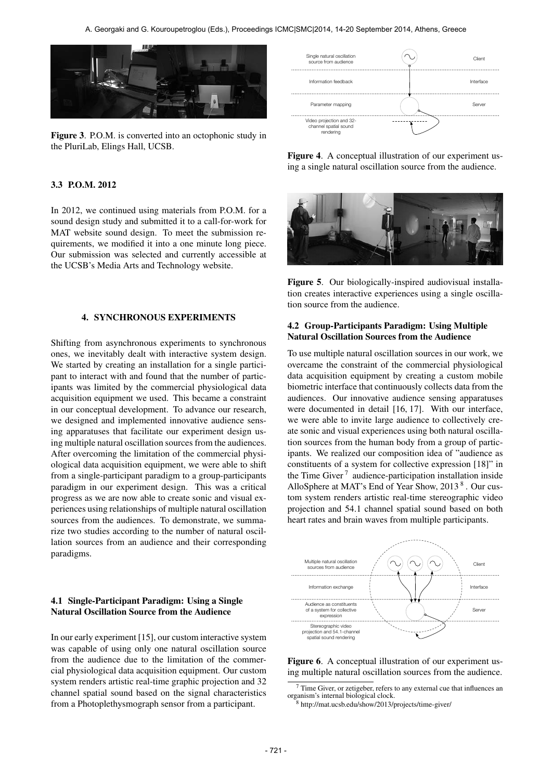

Figure 3. P.O.M. is converted into an octophonic study in the PluriLab, Elings Hall, UCSB.

## 3.3 P.O.M. 2012

In 2012, we continued using materials from P.O.M. for a sound design study and submitted it to a call-for-work for MAT website sound design. To meet the submission requirements, we modified it into a one minute long piece. Our submission was selected and currently accessible at the UCSB's Media Arts and Technology website.

#### 4. SYNCHRONOUS EXPERIMENTS

Shifting from asynchronous experiments to synchronous ones, we inevitably dealt with interactive system design. We started by creating an installation for a single participant to interact with and found that the number of participants was limited by the commercial physiological data acquisition equipment we used. This became a constraint in our conceptual development. To advance our research, we designed and implemented innovative audience sensing apparatuses that facilitate our experiment design using multiple natural oscillation sources from the audiences. After overcoming the limitation of the commercial physiological data acquisition equipment, we were able to shift from a single-participant paradigm to a group-participants paradigm in our experiment design. This was a critical progress as we are now able to create sonic and visual experiences using relationships of multiple natural oscillation sources from the audiences. To demonstrate, we summarize two studies according to the number of natural oscillation sources from an audience and their corresponding paradigms.

# 4.1 Single-Participant Paradigm: Using a Single Natural Oscillation Source from the Audience

In our early experiment [15], our custom interactive system was capable of using only one natural oscillation source from the audience due to the limitation of the commercial physiological data acquisition equipment. Our custom system renders artistic real-time graphic projection and 32 channel spatial sound based on the signal characteristics from a Photoplethysmograph sensor from a participant.



Figure 4. A conceptual illustration of our experiment using a single natural oscillation source from the audience.



Figure 5. Our biologically-inspired audiovisual installation creates interactive experiences using a single oscillation source from the audience.

# 4.2 Group-Participants Paradigm: Using Multiple Natural Oscillation Sources from the Audience

To use multiple natural oscillation sources in our work, we overcame the constraint of the commercial physiological data acquisition equipment by creating a custom mobile biometric interface that continuously collects data from the audiences. Our innovative audience sensing apparatuses were documented in detail [16, 17]. With our interface, we were able to invite large audience to collectively create sonic and visual experiences using both natural oscillation sources from the human body from a group of participants. We realized our composition idea of "audience as constituents of a system for collective expression [18]" in the Time Giver<sup>7</sup> audience-participation installation inside AlloSphere at MAT's End of Year Show, 2013<sup>8</sup>. Our custom system renders artistic real-time stereographic video projection and 54.1 channel spatial sound based on both heart rates and brain waves from multiple participants.



Figure 6. A conceptual illustration of our experiment using multiple natural oscillation sources from the audience.

 $7$  Time Giver, or zetigeber, refers to any external cue that influences an organism's internal biological clock.

<sup>8</sup> http://mat.ucsb.edu/show/2013/projects/time-giver/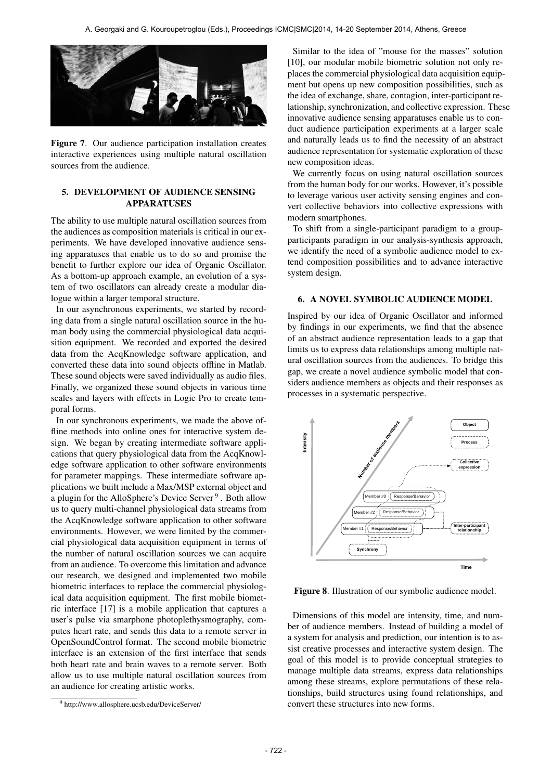

Figure 7. Our audience participation installation creates interactive experiences using multiple natural oscillation sources from the audience.

# 5. DEVELOPMENT OF AUDIENCE SENSING **APPARATUSES**

The ability to use multiple natural oscillation sources from the audiences as composition materials is critical in our experiments. We have developed innovative audience sensing apparatuses that enable us to do so and promise the benefit to further explore our idea of Organic Oscillator. As a bottom-up approach example, an evolution of a system of two oscillators can already create a modular dialogue within a larger temporal structure.

In our asynchronous experiments, we started by recording data from a single natural oscillation source in the human body using the commercial physiological data acquisition equipment. We recorded and exported the desired data from the AcqKnowledge software application, and converted these data into sound objects offline in Matlab. These sound objects were saved individually as audio files. Finally, we organized these sound objects in various time scales and layers with effects in Logic Pro to create temporal forms.

In our synchronous experiments, we made the above offline methods into online ones for interactive system design. We began by creating intermediate software applications that query physiological data from the AcqKnowledge software application to other software environments for parameter mappings. These intermediate software applications we built include a Max/MSP external object and a plugin for the AlloSphere's Device Server<sup>9</sup>. Both allow us to query multi-channel physiological data streams from the AcqKnowledge software application to other software environments. However, we were limited by the commercial physiological data acquisition equipment in terms of the number of natural oscillation sources we can acquire from an audience. To overcome this limitation and advance our research, we designed and implemented two mobile biometric interfaces to replace the commercial physiological data acquisition equipment. The first mobile biometric interface [17] is a mobile application that captures a user's pulse via smarphone photoplethysmography, computes heart rate, and sends this data to a remote server in OpenSoundControl format. The second mobile biometric interface is an extension of the first interface that sends both heart rate and brain waves to a remote server. Both allow us to use multiple natural oscillation sources from an audience for creating artistic works.

Similar to the idea of "mouse for the masses" solution [10], our modular mobile biometric solution not only replaces the commercial physiological data acquisition equipment but opens up new composition possibilities, such as the idea of exchange, share, contagion, inter-participant relationship, synchronization, and collective expression. These innovative audience sensing apparatuses enable us to conduct audience participation experiments at a larger scale and naturally leads us to find the necessity of an abstract audience representation for systematic exploration of these new composition ideas.

We currently focus on using natural oscillation sources from the human body for our works. However, it's possible to leverage various user activity sensing engines and convert collective behaviors into collective expressions with modern smartphones.

To shift from a single-participant paradigm to a groupparticipants paradigm in our analysis-synthesis approach, we identify the need of a symbolic audience model to extend composition possibilities and to advance interactive system design.

# 6. A NOVEL SYMBOLIC AUDIENCE MODEL

Inspired by our idea of Organic Oscillator and informed by findings in our experiments, we find that the absence of an abstract audience representation leads to a gap that limits us to express data relationships among multiple natural oscillation sources from the audiences. To bridge this gap, we create a novel audience symbolic model that considers audience members as objects and their responses as processes in a systematic perspective.



Figure 8. Illustration of our symbolic audience model.

Dimensions of this model are intensity, time, and number of audience members. Instead of building a model of a system for analysis and prediction, our intention is to assist creative processes and interactive system design. The goal of this model is to provide conceptual strategies to manage multiple data streams, express data relationships among these streams, explore permutations of these relationships, build structures using found relationships, and convert these structures into new forms.

<sup>9</sup> http://www.allosphere.ucsb.edu/DeviceServer/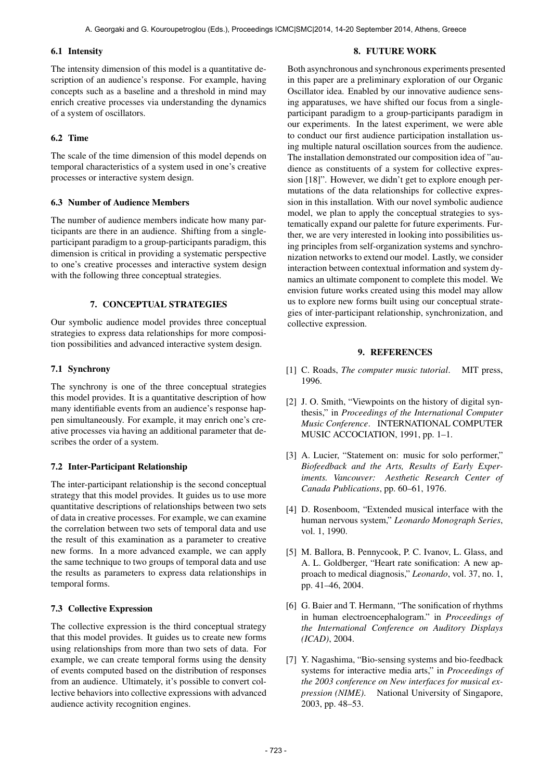### 6.1 Intensity

The intensity dimension of this model is a quantitative description of an audience's response. For example, having concepts such as a baseline and a threshold in mind may enrich creative processes via understanding the dynamics of a system of oscillators.

# 6.2 Time

The scale of the time dimension of this model depends on temporal characteristics of a system used in one's creative processes or interactive system design.

## 6.3 Number of Audience Members

The number of audience members indicate how many participants are there in an audience. Shifting from a singleparticipant paradigm to a group-participants paradigm, this dimension is critical in providing a systematic perspective to one's creative processes and interactive system design with the following three conceptual strategies.

# 7. CONCEPTUAL STRATEGIES

Our symbolic audience model provides three conceptual strategies to express data relationships for more composition possibilities and advanced interactive system design.

# 7.1 Synchrony

The synchrony is one of the three conceptual strategies this model provides. It is a quantitative description of how many identifiable events from an audience's response happen simultaneously. For example, it may enrich one's creative processes via having an additional parameter that describes the order of a system.

## 7.2 Inter-Participant Relationship

The inter-participant relationship is the second conceptual strategy that this model provides. It guides us to use more quantitative descriptions of relationships between two sets of data in creative processes. For example, we can examine the correlation between two sets of temporal data and use the result of this examination as a parameter to creative new forms. In a more advanced example, we can apply the same technique to two groups of temporal data and use the results as parameters to express data relationships in temporal forms.

# 7.3 Collective Expression

The collective expression is the third conceptual strategy that this model provides. It guides us to create new forms using relationships from more than two sets of data. For example, we can create temporal forms using the density of events computed based on the distribution of responses from an audience. Ultimately, it's possible to convert collective behaviors into collective expressions with advanced audience activity recognition engines.

# 8. FUTURE WORK

Both asynchronous and synchronous experiments presented in this paper are a preliminary exploration of our Organic Oscillator idea. Enabled by our innovative audience sensing apparatuses, we have shifted our focus from a singleparticipant paradigm to a group-participants paradigm in our experiments. In the latest experiment, we were able to conduct our first audience participation installation using multiple natural oscillation sources from the audience. The installation demonstrated our composition idea of "audience as constituents of a system for collective expression [18]". However, we didn't get to explore enough permutations of the data relationships for collective expression in this installation. With our novel symbolic audience model, we plan to apply the conceptual strategies to systematically expand our palette for future experiments. Further, we are very interested in looking into possibilities using principles from self-organization systems and synchronization networks to extend our model. Lastly, we consider interaction between contextual information and system dynamics an ultimate component to complete this model. We envision future works created using this model may allow us to explore new forms built using our conceptual strategies of inter-participant relationship, synchronization, and collective expression.

# 9. REFERENCES

- [1] C. Roads, *The computer music tutorial*. MIT press, 1996.
- [2] J. O. Smith, "Viewpoints on the history of digital synthesis," in *Proceedings of the International Computer Music Conference*. INTERNATIONAL COMPUTER MUSIC ACCOCIATION, 1991, pp. 1–1.
- [3] A. Lucier, "Statement on: music for solo performer," *Biofeedback and the Arts, Results of Early Experiments. Vancouver: Aesthetic Research Center of Canada Publications*, pp. 60–61, 1976.
- [4] D. Rosenboom, "Extended musical interface with the human nervous system," *Leonardo Monograph Series*, vol. 1, 1990.
- [5] M. Ballora, B. Pennycook, P. C. Ivanov, L. Glass, and A. L. Goldberger, "Heart rate sonification: A new approach to medical diagnosis," *Leonardo*, vol. 37, no. 1, pp. 41–46, 2004.
- [6] G. Baier and T. Hermann, "The sonification of rhythms in human electroencephalogram." in *Proceedings of the International Conference on Auditory Displays (ICAD)*, 2004.
- [7] Y. Nagashima, "Bio-sensing systems and bio-feedback systems for interactive media arts," in *Proceedings of the 2003 conference on New interfaces for musical expression (NIME)*. National University of Singapore, 2003, pp. 48–53.